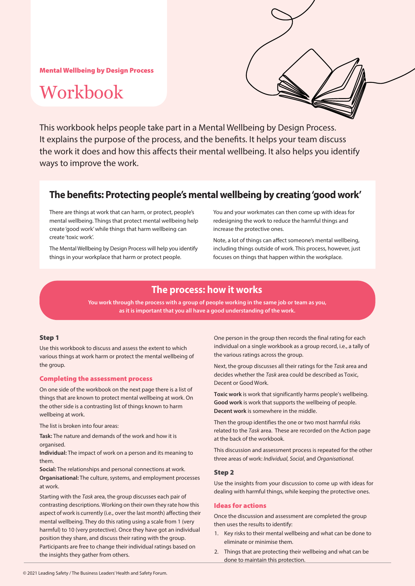Mental Wellbeing by Design Process

# Workbook



This workbook helps people take part in a Mental Wellbeing by Design Process. It explains the purpose of the process, and the benefits. It helps your team discuss the work it does and how this affects their mental wellbeing. It also helps you identify ways to improve the work.

## **The benefits: Protecting people's mental wellbeing by creating 'good work'**

There are things at work that can harm, or protect, people's mental wellbeing. Things that protect mental wellbeing help create 'good work' while things that harm wellbeing can create 'toxic work'.

The Mental Wellbeing by Design Process will help you identify things in your workplace that harm or protect people.

You and your workmates can then come up with ideas for redesigning the work to reduce the harmful things and increase the protective ones.

Note, a lot of things can affect someone's mental wellbeing, including things outside of work. This process, however, just focuses on things that happen within the workplace.

## **The process: how it works**

**You work through the process with a group of people working in the same job or team as you, as it is important that you all have a good understanding of the work.**

#### Step 1

Use this workbook to discuss and assess the extent to which various things at work harm or protect the mental wellbeing of the group.

#### Completing the assessment process

On one side of the workbook on the next page there is a list of things that are known to protect mental wellbeing at work. On the other side is a contrasting list of things known to harm wellbeing at work.

The list is broken into four areas:

**Task:** The nature and demands of the work and how it is organised.

**Individual:** The impact of work on a person and its meaning to them.

**Social:** The relationships and personal connections at work. **Organisational:** The culture, systems, and employment processes at work.

Starting with the *Task* area, the group discusses each pair of contrasting descriptions. Working on their own they rate how this aspect of work is currently (i.e., over the last month) affecting their mental wellbeing. They do this rating using a scale from 1 (very harmful) to 10 (very protective). Once they have got an individual position they share, and discuss their rating with the group. Participants are free to change their individual ratings based on the insights they gather from others.

One person in the group then records the final rating for each individual on a single workbook as a group record, i.e., a tally of the various ratings across the group.

Next, the group discusses all their ratings for the *Task* area and decides whether the *Task* area could be described as Toxic, Decent or Good Work.

**Toxic work** is work that significantly harms people's wellbeing. **Good work** is work that supports the wellbeing of people. **Decent work** is somewhere in the middle.

Then the group identifies the one or two most harmful risks related to the *Task* area. These are recorded on the Action page at the back of the workbook.

This discussion and assessment process is repeated for the other three areas of work: *Individual, Social*, and *Organisational*.

#### Step 2

Use the insights from your discussion to come up with ideas for dealing with harmful things, while keeping the protective ones.

#### Ideas for actions

Once the discussion and assessment are completed the group then uses the results to identify:

- 1. Key risks to their mental wellbeing and what can be done to eliminate or minimise them.
- 2. Things that are protecting their wellbeing and what can be done to maintain this protection.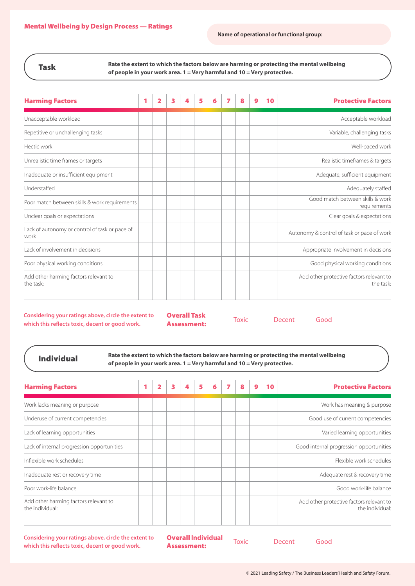### Task

**Rate the extent to which the factors below are harming or protecting the mental wellbeing of people in your work area. 1 = Very harmful and 10 = Very protective.**

| <b>Harming Factors</b>                                 | 1 | 2 | 3 | 5 |  | 8 | 9 | 10 | <b>Protective Factors</b>                             |
|--------------------------------------------------------|---|---|---|---|--|---|---|----|-------------------------------------------------------|
| Unacceptable workload                                  |   |   |   |   |  |   |   |    | Acceptable workload                                   |
| Repetitive or unchallenging tasks                      |   |   |   |   |  |   |   |    | Variable, challenging tasks                           |
| Hectic work                                            |   |   |   |   |  |   |   |    | Well-paced work                                       |
| Unrealistic time frames or targets                     |   |   |   |   |  |   |   |    | Realistic timeframes & targets                        |
| Inadequate or insufficient equipment                   |   |   |   |   |  |   |   |    | Adequate, sufficient equipment                        |
| Understaffed                                           |   |   |   |   |  |   |   |    | Adequately staffed                                    |
| Poor match between skills & work requirements          |   |   |   |   |  |   |   |    | Good match between skills & work<br>requirements      |
| Unclear goals or expectations                          |   |   |   |   |  |   |   |    | Clear goals & expectations                            |
| Lack of autonomy or control of task or pace of<br>work |   |   |   |   |  |   |   |    | Autonomy & control of task or pace of work            |
| Lack of involvement in decisions                       |   |   |   |   |  |   |   |    | Appropriate involvement in decisions                  |
| Poor physical working conditions                       |   |   |   |   |  |   |   |    | Good physical working conditions                      |
| Add other harming factors relevant to<br>the task:     |   |   |   |   |  |   |   |    | Add other protective factors relevant to<br>the task: |

**Considering your ratings above, circle the extent to which this reflects toxic, decent or good work.**

Overall Task **Assessment:** Toxic Decent Good

Individual

**Rate the extent to which the factors below are harming or protecting the mental wellbeing of people in your work area. 1 = Very harmful and 10 = Very protective.**

| <b>Harming Factors</b>                                   | 1 | 3 | 5 |  |  | <b>Protective Factors</b>                                   |
|----------------------------------------------------------|---|---|---|--|--|-------------------------------------------------------------|
| Work lacks meaning or purpose                            |   |   |   |  |  | Work has meaning & purpose                                  |
| Underuse of current competencies                         |   |   |   |  |  | Good use of current competencies                            |
| Lack of learning opportunities                           |   |   |   |  |  | Varied learning opportunities                               |
| Lack of internal progression opportunities               |   |   |   |  |  | Good internal progression opportunities                     |
| Inflexible work schedules                                |   |   |   |  |  | Flexible work schedules                                     |
| Inadequate rest or recovery time                         |   |   |   |  |  | Adequate rest & recovery time                               |
| Poor work-life balance                                   |   |   |   |  |  | Good work-life balance                                      |
| Add other harming factors relevant to<br>the individual: |   |   |   |  |  | Add other protective factors relevant to<br>the individual: |

**Considering your ratings above, circle the extent to which this reflects toxic, decent or good work.**

Overall **Individual Assessment:** Toxic Decent Good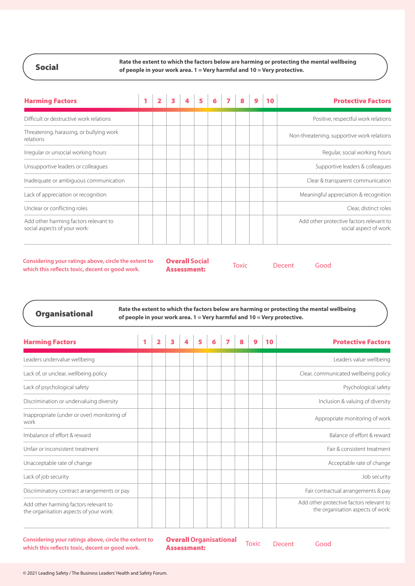Social

**Rate the extent to which the factors below are harming or protecting the mental wellbeing of people in your work area. 1 = Very harmful and 10 = Very protective.**

| <b>Harming Factors</b>                                                |  |  |  |  |  | <b>Protective Factors</b>                                          |
|-----------------------------------------------------------------------|--|--|--|--|--|--------------------------------------------------------------------|
| Difficult or destructive work relations                               |  |  |  |  |  | Positive, respectful work relations                                |
| Threatening, harassing, or bullying work<br>relations                 |  |  |  |  |  | Non-threatening, supportive work relations                         |
| Irregular or unsocial working hours                                   |  |  |  |  |  | Regular, social working hours                                      |
| Unsupportive leaders or colleagues                                    |  |  |  |  |  | Supportive leaders & colleagues                                    |
| Inadequate or ambiguous communication                                 |  |  |  |  |  | Clear & transparent communication                                  |
| Lack of appreciation or recognition                                   |  |  |  |  |  | Meaningful appreciation & recognition                              |
| Unclear or conflicting roles                                          |  |  |  |  |  | Clear, distinct roles                                              |
| Add other harming factors relevant to<br>social aspects of your work: |  |  |  |  |  | Add other protective factors relevant to<br>social aspect of work: |

**Considering your ratings above, circle the extent to which this reflects toxic, decent or good work.**

Overall **Social Assessment:** Toxic Decent Good

**Organisational** Rate the extent to which the factors below are harming or protecting the mental wellbeing **Organisational of people in your work area. 1 = Very harmful and 10 = Very protective.**

| <b>Harming Factors</b>                                                          |  | 3 |  |  |  | 10 | <b>Protective Factors</b>                                                     |
|---------------------------------------------------------------------------------|--|---|--|--|--|----|-------------------------------------------------------------------------------|
| Leaders undervalue wellbeing                                                    |  |   |  |  |  |    | Leaders value wellbeing                                                       |
| Lack of, or unclear, wellbeing policy                                           |  |   |  |  |  |    | Clear, communicated wellbeing policy                                          |
| Lack of psychological safety                                                    |  |   |  |  |  |    | Psychological safety                                                          |
| Discrimination or undervaluing diversity                                        |  |   |  |  |  |    | Inclusion & valuing of diversity                                              |
| Inappropriate (under or over) monitoring of<br>work                             |  |   |  |  |  |    | Appropriate monitoring of work                                                |
| Imbalance of effort & reward                                                    |  |   |  |  |  |    | Balance of effort & reward                                                    |
| Unfair or inconsistent treatment                                                |  |   |  |  |  |    | Fair & consistent treatment                                                   |
| Unacceptable rate of change                                                     |  |   |  |  |  |    | Acceptable rate of change                                                     |
| Lack of job security                                                            |  |   |  |  |  |    | Job security                                                                  |
| Discriminatory contract arrangements or pay                                     |  |   |  |  |  |    | Fair contractual arrangements & pay                                           |
| Add other harming factors relevant to<br>the organisation aspects of your work: |  |   |  |  |  |    | Add other protective factors relevant to<br>the organisation aspects of work: |

**Considering your ratings above, circle the extent to which this reflects toxic, decent or good work.**

Overall **Organisational Overall Organisational** Toxic Decent Good